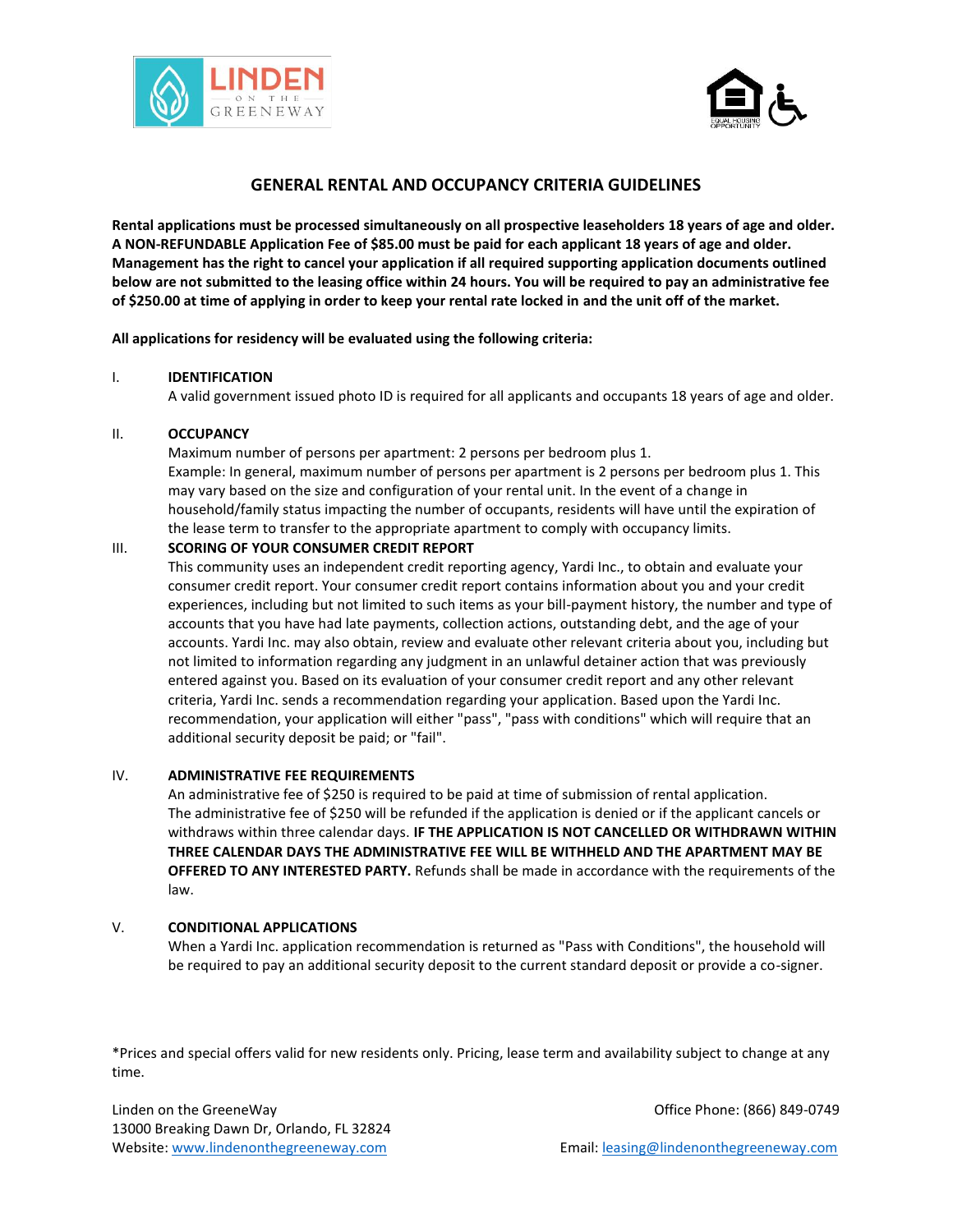



# **GENERAL RENTAL AND OCCUPANCY CRITERIA GUIDELINES**

**Rental applications must be processed simultaneously on all prospective leaseholders 18 years of age and older. A NON-REFUNDABLE Application Fee of \$85.00 must be paid for each applicant 18 years of age and older. Management has the right to cancel your application if all required supporting application documents outlined below are not submitted to the leasing office within 24 hours. You will be required to pay an administrative fee of \$250.00 at time of applying in order to keep your rental rate locked in and the unit off of the market.**

**All applications for residency will be evaluated using the following criteria:**

#### I. **IDENTIFICATION**

A valid government issued photo ID is required for all applicants and occupants 18 years of age and older.

## II. **OCCUPANCY**

Maximum number of persons per apartment: 2 persons per bedroom plus 1. Example: In general, maximum number of persons per apartment is 2 persons per bedroom plus 1. This may vary based on the size and configuration of your rental unit. In the event of a change in household/family status impacting the number of occupants, residents will have until the expiration of the lease term to transfer to the appropriate apartment to comply with occupancy limits.

## III. **SCORING OF YOUR CONSUMER CREDIT REPORT**

This community uses an independent credit reporting agency, Yardi Inc., to obtain and evaluate your consumer credit report. Your consumer credit report contains information about you and your credit experiences, including but not limited to such items as your bill-payment history, the number and type of accounts that you have had late payments, collection actions, outstanding debt, and the age of your accounts. Yardi Inc. may also obtain, review and evaluate other relevant criteria about you, including but not limited to information regarding any judgment in an unlawful detainer action that was previously entered against you. Based on its evaluation of your consumer credit report and any other relevant criteria, Yardi Inc. sends a recommendation regarding your application. Based upon the Yardi Inc. recommendation, your application will either "pass", "pass with conditions" which will require that an additional security deposit be paid; or "fail".

## IV. **ADMINISTRATIVE FEE REQUIREMENTS**

An administrative fee of \$250 is required to be paid at time of submission of rental application. The administrative fee of \$250 will be refunded if the application is denied or if the applicant cancels or withdraws within three calendar days. **IF THE APPLICATION IS NOT CANCELLED OR WITHDRAWN WITHIN THREE CALENDAR DAYS THE ADMINISTRATIVE FEE WILL BE WITHHELD AND THE APARTMENT MAY BE OFFERED TO ANY INTERESTED PARTY.** Refunds shall be made in accordance with the requirements of the law.

## V. **CONDITIONAL APPLICATIONS**

When a Yardi Inc. application recommendation is returned as "Pass with Conditions", the household will be required to pay an additional security deposit to the current standard deposit or provide a co-signer.

\*Prices and special offers valid for new residents only. Pricing, lease term and availability subject to change at any time.

Linden on the GreeneWay **Contract Contract Contract Contract Contract Contract Contract Contract Contract Contract Contract Contract Contract Contract Contract Contract Contract Contract Contract Contract Contract Contract** 13000 Breaking Dawn Dr, Orlando, FL 32824 Website[: www.lindenonthegreeneway.com](http://www.lindenonthegreeneway.com/) Email: leasing@lindenonthegreenewa[y.com](mailto:leasing@rhapartments.com)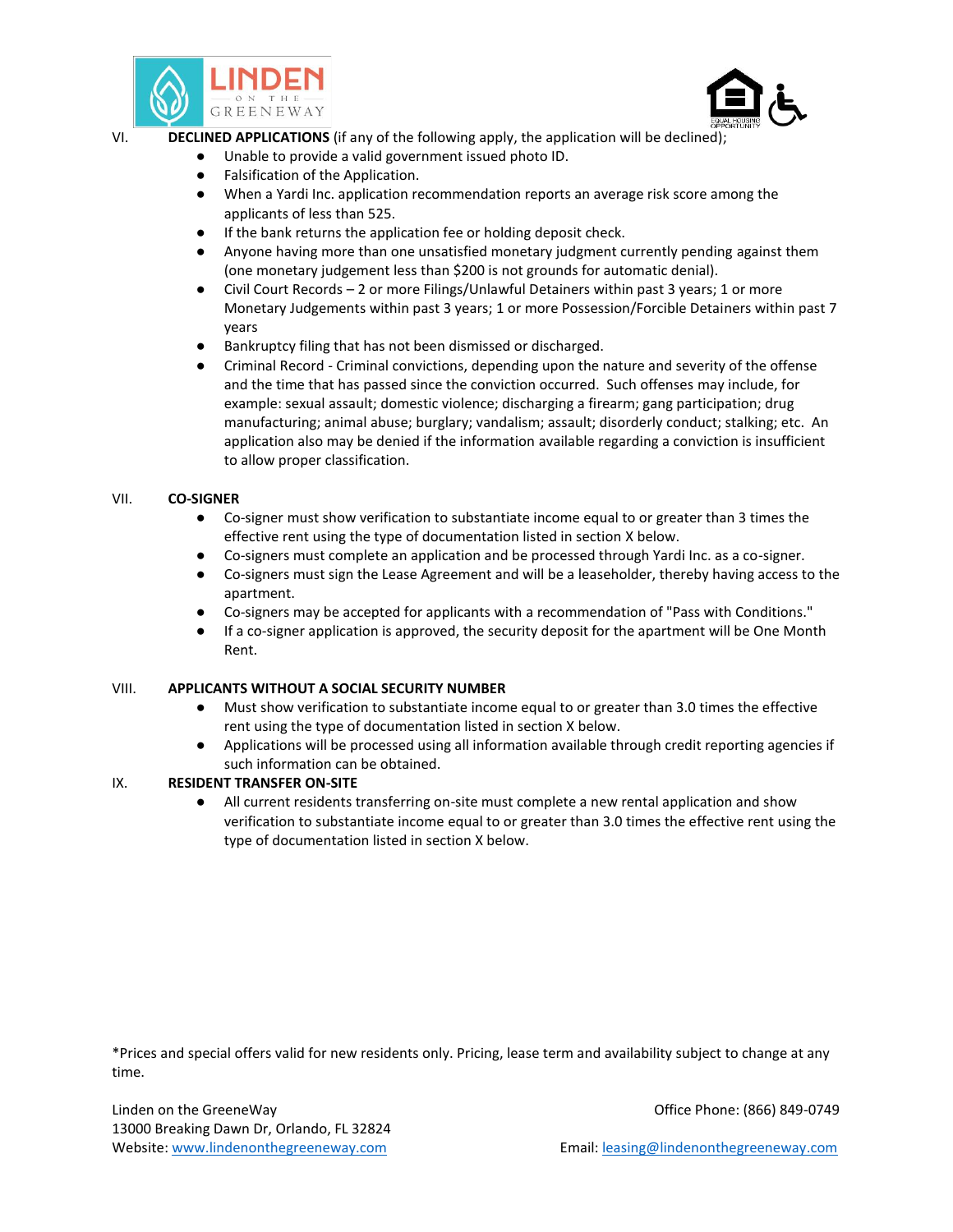



VI.

- **DECLINED APPLICATIONS** (if any of the following apply, the application will be declined);
	- Unable to provide a valid government issued photo ID.
	- Falsification of the Application.
	- When a Yardi Inc. application recommendation reports an average risk score among the applicants of less than 525.
	- If the bank returns the application fee or holding deposit check.
	- Anyone having more than one unsatisfied monetary judgment currently pending against them (one monetary judgement less than \$200 is not grounds for automatic denial).
	- Civil Court Records 2 or more Filings/Unlawful Detainers within past 3 years; 1 or more Monetary Judgements within past 3 years; 1 or more Possession/Forcible Detainers within past 7 years
	- Bankruptcy filing that has not been dismissed or discharged.
	- Criminal Record Criminal convictions, depending upon the nature and severity of the offense and the time that has passed since the conviction occurred. Such offenses may include, for example: sexual assault; domestic violence; discharging a firearm; gang participation; drug manufacturing; animal abuse; burglary; vandalism; assault; disorderly conduct; stalking; etc. An application also may be denied if the information available regarding a conviction is insufficient to allow proper classification.

## VII. **CO-SIGNER**

- Co-signer must show verification to substantiate income equal to or greater than 3 times the effective rent using the type of documentation listed in section X below.
- Co-signers must complete an application and be processed through Yardi Inc. as a co-signer.
- Co-signers must sign the Lease Agreement and will be a leaseholder, thereby having access to the apartment.
- Co-signers may be accepted for applicants with a recommendation of "Pass with Conditions."
- If a co-signer application is approved, the security deposit for the apartment will be One Month Rent.

## VIII. **APPLICANTS WITHOUT A SOCIAL SECURITY NUMBER**

- Must show verification to substantiate income equal to or greater than 3.0 times the effective rent using the type of documentation listed in section X below.
- Applications will be processed using all information available through credit reporting agencies if such information can be obtained.

## IX. **RESIDENT TRANSFER ON-SITE**

All current residents transferring on-site must complete a new rental application and show verification to substantiate income equal to or greater than 3.0 times the effective rent using the type of documentation listed in section X below.

\*Prices and special offers valid for new residents only. Pricing, lease term and availability subject to change at any time.

Linden on the GreeneWay **Community 1999-0749** Change of Community 1999-0749 Change of Community 1999-0749 13000 Breaking Dawn Dr, Orlando, FL 32824 Website[: www.lindenonthegreeneway.com](http://www.lindenonthegreeneway.com/) Email: leasing@lindenonthegreenewa[y.com](mailto:leasing@rhapartments.com)